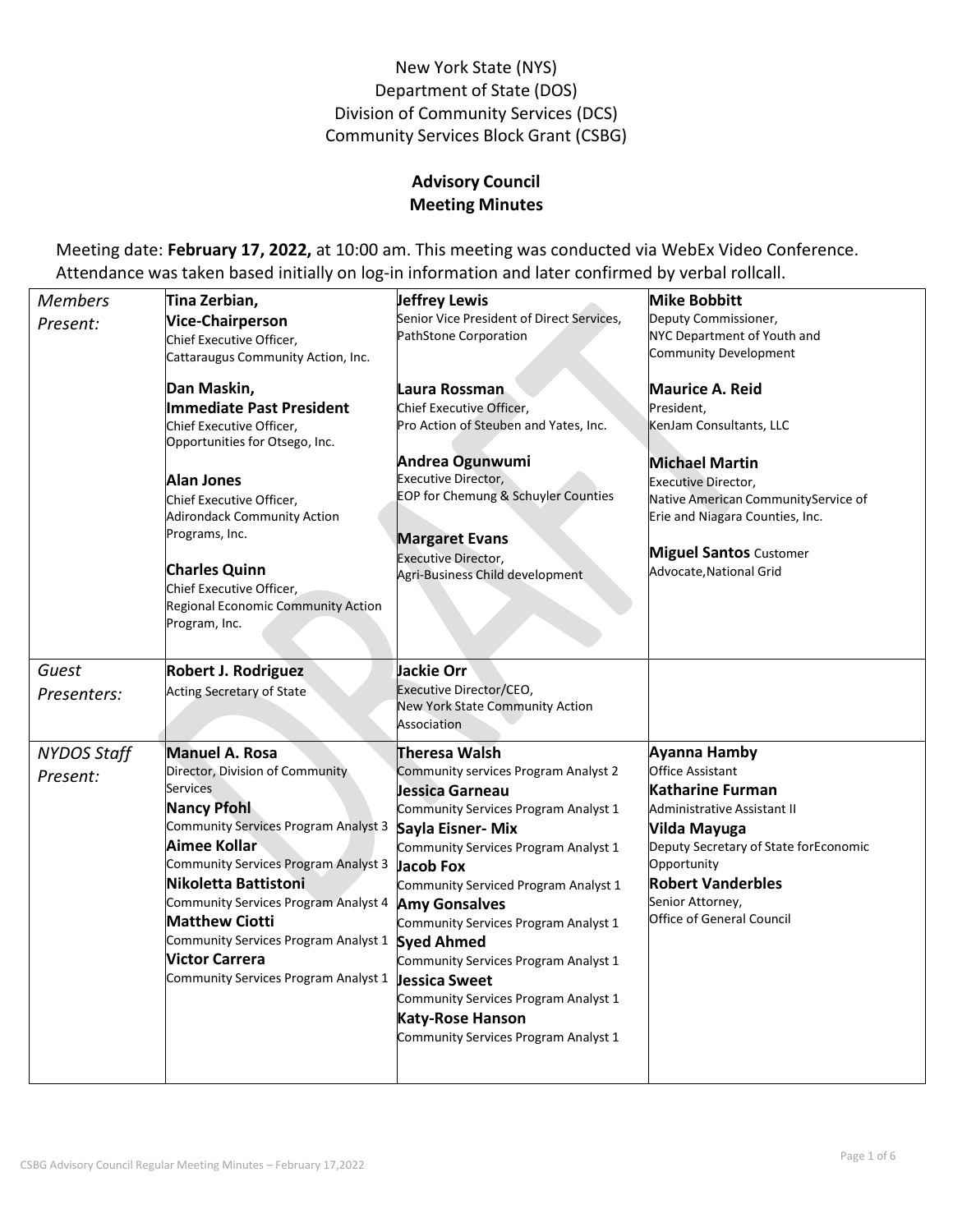# New York State (NYS) Department of State (DOS) Division of Community Services (DCS) Community Services Block Grant (CSBG)

# **Advisory Council Meeting Minutes**

Meeting date: **February 17, 2022,** at 10:00 am. This meeting was conducted via WebEx Video Conference. Attendance was taken based initially on log-in information and later confirmed by verbal rollcall.

| <b>Members</b>                 | Tina Zerbian,                                                                                                                                                                                                                                                                                                                                                                                | Jeffrey Lewis                                                                                                                                                                                                                                                                                                                                                                                                                                                                                             | <b>Mike Bobbitt</b>                                                                                                                                                                                                                                    |
|--------------------------------|----------------------------------------------------------------------------------------------------------------------------------------------------------------------------------------------------------------------------------------------------------------------------------------------------------------------------------------------------------------------------------------------|-----------------------------------------------------------------------------------------------------------------------------------------------------------------------------------------------------------------------------------------------------------------------------------------------------------------------------------------------------------------------------------------------------------------------------------------------------------------------------------------------------------|--------------------------------------------------------------------------------------------------------------------------------------------------------------------------------------------------------------------------------------------------------|
| Present:                       | <b>Vice-Chairperson</b><br>Chief Executive Officer,<br>Cattaraugus Community Action, Inc.                                                                                                                                                                                                                                                                                                    | Senior Vice President of Direct Services,<br>PathStone Corporation                                                                                                                                                                                                                                                                                                                                                                                                                                        | Deputy Commissioner,<br>NYC Department of Youth and<br><b>Community Development</b>                                                                                                                                                                    |
|                                | Dan Maskin,<br>Immediate Past President<br>Chief Executive Officer,<br>Opportunities for Otsego, Inc.<br><b>Alan Jones</b><br>Chief Executive Officer,<br><b>Adirondack Community Action</b><br>Programs, Inc.<br><b>Charles Quinn</b><br>Chief Executive Officer,<br>Regional Economic Community Action<br>Program, Inc.                                                                    | Laura Rossman<br>Chief Executive Officer,<br>Pro Action of Steuben and Yates, Inc.<br>Andrea Ogunwumi<br><b>Executive Director,</b><br><b>EOP for Chemung &amp; Schuyler Counties</b><br><b>Margaret Evans</b><br><b>Executive Director,</b><br>Agri-Business Child development                                                                                                                                                                                                                           | Maurice A. Reid<br>President.<br>KenJam Consultants, LLC<br><b>Michael Martin</b><br><b>Executive Director,</b><br>Native American CommunityService of<br>Erie and Niagara Counties, Inc.<br><b>Miguel Santos</b> Customer<br>Advocate, National Grid  |
| Guest<br>Presenters:           | <b>Robert J. Rodriguez</b><br>Acting Secretary of State                                                                                                                                                                                                                                                                                                                                      | <b>Jackie Orr</b><br>Executive Director/CEO,<br>New York State Community Action<br>Association                                                                                                                                                                                                                                                                                                                                                                                                            |                                                                                                                                                                                                                                                        |
| <b>NYDOS Staff</b><br>Present: | <b>Manuel A. Rosa</b><br>Director, Division of Community<br>Services<br><b>Nancy Pfohl</b><br>Community Services Program Analyst 3<br>Aimee Kollar<br><b>Community Services Program Analyst 3</b><br>Nikoletta Battistoni<br>Community Services Program Analyst 4<br><b>Matthew Ciotti</b><br>Community Services Program Analyst 1<br>Victor Carrera<br>Community Services Program Analyst 1 | Theresa Walsh<br>Community services Program Analyst 2<br>Jessica Garneau<br>Community Services Program Analyst 1<br>Sayla Eisner- Mix<br>Community Services Program Analyst 1<br><b>Jacob Fox</b><br>Community Serviced Program Analyst 1<br><b>Amy Gonsalves</b><br>Community Services Program Analyst 1<br><b>Syed Ahmed</b><br>Community Services Program Analyst 1<br><b>Jessica Sweet</b><br>Community Services Program Analyst 1<br><b>Katy-Rose Hanson</b><br>Community Services Program Analyst 1 | Ayanna Hamby<br><b>Office Assistant</b><br>Katharine Furman<br>Administrative Assistant II<br>Vilda Mayuga<br>Deputy Secretary of State forEconomic<br>Opportunity<br><b>Robert Vanderbles</b><br>Senior Attorney,<br><b>Office of General Council</b> |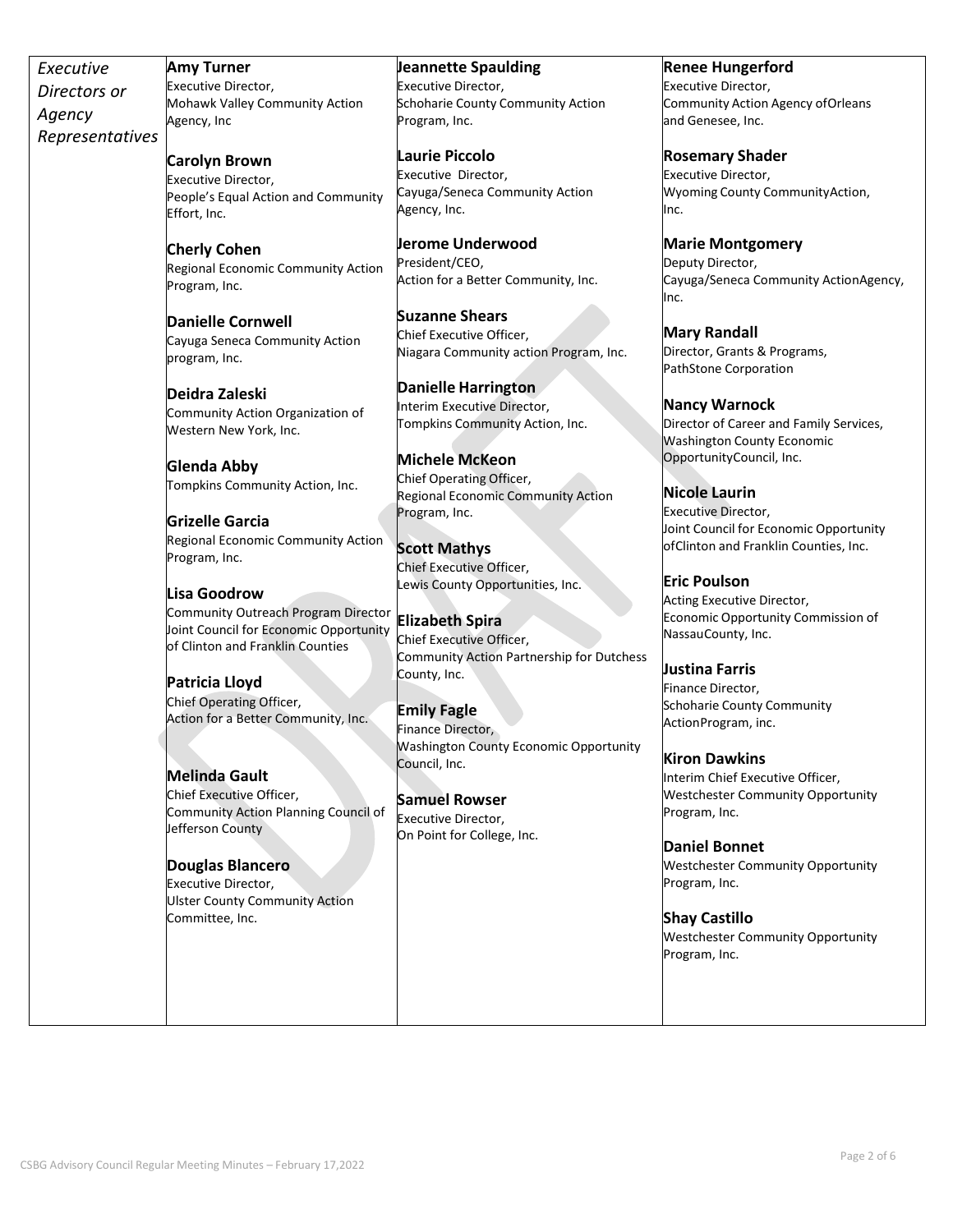| Executive       | <b>Amy Turner</b>                                                | Jeannette Spaulding                                            | <b>Renee Hungerford</b>                                                      |
|-----------------|------------------------------------------------------------------|----------------------------------------------------------------|------------------------------------------------------------------------------|
| Directors or    | Executive Director,                                              | Executive Director,                                            | Executive Director,                                                          |
| Agency          | Mohawk Valley Community Action<br>Agency, Inc                    | Schoharie County Community Action<br>Program, Inc.             | Community Action Agency of Orleans<br>and Genesee, Inc.                      |
| Representatives |                                                                  |                                                                |                                                                              |
|                 | <b>Carolyn Brown</b>                                             | <b>Laurie Piccolo</b>                                          | <b>Rosemary Shader</b>                                                       |
|                 | Executive Director,                                              | Executive Director,                                            | Executive Director,                                                          |
|                 | People's Equal Action and Community                              | Cayuga/Seneca Community Action                                 | Wyoming County Community Action,                                             |
|                 | Effort, Inc.                                                     | Agency, Inc.                                                   | Inc.                                                                         |
|                 |                                                                  | <b>Jerome Underwood</b>                                        | <b>Marie Montgomery</b>                                                      |
|                 | <b>Cherly Cohen</b><br>Regional Economic Community Action        | President/CEO,                                                 | Deputy Director,                                                             |
|                 | Program, Inc.                                                    | Action for a Better Community, Inc.                            | Cayuga/Seneca Community ActionAgency,<br>Inc.                                |
|                 | <b>Danielle Cornwell</b>                                         | <b>Suzanne Shears</b>                                          |                                                                              |
|                 | Cayuga Seneca Community Action                                   | Chief Executive Officer,                                       | <b>Mary Randall</b>                                                          |
|                 | program, Inc.                                                    | Niagara Community action Program, Inc.                         | Director, Grants & Programs,<br>PathStone Corporation                        |
|                 | Deidra Zaleski                                                   | <b>Danielle Harrington</b>                                     |                                                                              |
|                 | Community Action Organization of                                 | Interim Executive Director,                                    | <b>Nancy Warnock</b>                                                         |
|                 | Western New York, Inc.                                           | Tompkins Community Action, Inc.                                | Director of Career and Family Services,                                      |
|                 |                                                                  |                                                                | <b>Washington County Economic</b><br>OpportunityCouncil, Inc.                |
|                 | <b>Glenda Abby</b>                                               | <b>Michele McKeon</b>                                          |                                                                              |
|                 | Tompkins Community Action, Inc.                                  | Chief Operating Officer,<br>Regional Economic Community Action | <b>Nicole Laurin</b>                                                         |
|                 |                                                                  | Program, Inc.                                                  | <b>Executive Director,</b>                                                   |
|                 | <b>Grizelle Garcia</b>                                           |                                                                | Joint Council for Economic Opportunity                                       |
|                 | Regional Economic Community Action                               | <b>Scott Mathys</b>                                            | ofClinton and Franklin Counties, Inc.                                        |
|                 | Program, Inc.                                                    | Chief Executive Officer,                                       |                                                                              |
|                 | Lisa Goodrow                                                     | Lewis County Opportunities, Inc.                               | <b>Eric Poulson</b>                                                          |
|                 | Community Outreach Program Director                              |                                                                | Acting Executive Director,                                                   |
|                 | Joint Council for Economic Opportunity                           | <b>Elizabeth Spira</b>                                         | Economic Opportunity Commission of<br>NassauCounty, Inc.                     |
|                 | of Clinton and Franklin Counties                                 | Chief Executive Officer,                                       |                                                                              |
|                 |                                                                  | Community Action Partnership for Dutchess                      | <b>Justina Farris</b>                                                        |
|                 | Patricia Lloyd                                                   | County, Inc.                                                   | Finance Director,                                                            |
|                 | Chief Operating Officer,                                         | <b>Emily Fagle</b>                                             | Schoharie County Community                                                   |
|                 | Action for a Better Community, Inc.                              | Finance Director,                                              | ActionProgram, inc.                                                          |
|                 |                                                                  | <b>Washington County Economic Opportunity</b>                  |                                                                              |
|                 |                                                                  | Council, Inc.                                                  | <b>Kiron Dawkins</b>                                                         |
|                 | <b>Melinda Gault</b>                                             |                                                                | Interim Chief Executive Officer,<br><b>Westchester Community Opportunity</b> |
|                 | Chief Executive Officer,<br>Community Action Planning Council of | <b>Samuel Rowser</b>                                           | Program, Inc.                                                                |
|                 | Jefferson County                                                 | <b>Executive Director,</b>                                     |                                                                              |
|                 |                                                                  | On Point for College, Inc.                                     | <b>Daniel Bonnet</b>                                                         |
|                 | Douglas Blancero                                                 |                                                                | <b>Westchester Community Opportunity</b>                                     |
|                 | <b>Executive Director,</b>                                       |                                                                | Program, Inc.                                                                |
|                 | <b>Ulster County Community Action</b>                            |                                                                |                                                                              |
|                 | Committee, Inc.                                                  |                                                                | <b>Shay Castillo</b>                                                         |
|                 |                                                                  |                                                                | <b>Westchester Community Opportunity</b>                                     |
|                 |                                                                  |                                                                | Program, Inc.                                                                |
|                 |                                                                  |                                                                |                                                                              |
|                 |                                                                  |                                                                |                                                                              |
|                 |                                                                  |                                                                |                                                                              |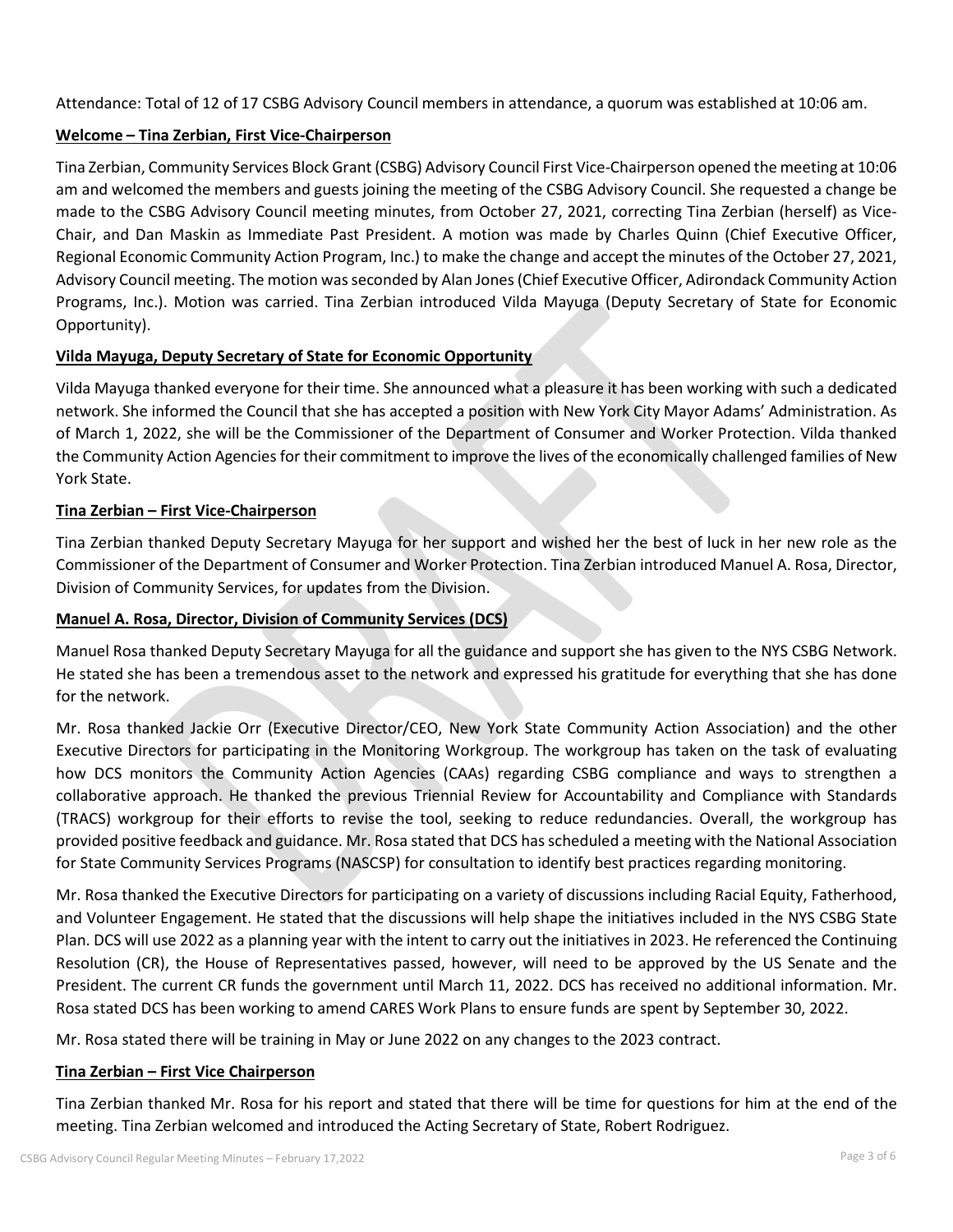Attendance: Total of 12 of 17 CSBG Advisory Council members in attendance, a quorum was established at 10:06 am.

# **Welcome – Tina Zerbian, First Vice-Chairperson**

Tina Zerbian, Community Services Block Grant (CSBG) Advisory Council First Vice-Chairperson opened the meeting at 10:06 am and welcomed the members and guests joining the meeting of the CSBG Advisory Council. She requested a change be made to the CSBG Advisory Council meeting minutes, from October 27, 2021, correcting Tina Zerbian (herself) as Vice-Chair, and Dan Maskin as Immediate Past President. A motion was made by Charles Quinn (Chief Executive Officer, Regional Economic Community Action Program, Inc.) to make the change and accept the minutes of the October 27, 2021, Advisory Council meeting. The motion was seconded by Alan Jones (Chief Executive Officer, Adirondack Community Action Programs, Inc.). Motion was carried. Tina Zerbian introduced Vilda Mayuga (Deputy Secretary of State for Economic Opportunity).

# **Vilda Mayuga, Deputy Secretary of State for Economic Opportunity**

Vilda Mayuga thanked everyone for their time. She announced what a pleasure it has been working with such a dedicated network. She informed the Council that she has accepted a position with New York City Mayor Adams' Administration. As of March 1, 2022, she will be the Commissioner of the Department of Consumer and Worker Protection. Vilda thanked the Community Action Agencies for their commitment to improve the lives of the economically challenged families of New York State.

# **Tina Zerbian – First Vice-Chairperson**

Tina Zerbian thanked Deputy Secretary Mayuga for her support and wished her the best of luck in her new role as the Commissioner of the Department of Consumer and Worker Protection. Tina Zerbian introduced Manuel A. Rosa, Director, Division of Community Services, for updates from the Division.

# **Manuel A. Rosa, Director, Division of Community Services (DCS)**

Manuel Rosa thanked Deputy Secretary Mayuga for all the guidance and support she has given to the NYS CSBG Network. He stated she has been a tremendous asset to the network and expressed his gratitude for everything that she has done for the network.

Mr. Rosa thanked Jackie Orr (Executive Director/CEO, New York State Community Action Association) and the other Executive Directors for participating in the Monitoring Workgroup. The workgroup has taken on the task of evaluating how DCS monitors the Community Action Agencies (CAAs) regarding CSBG compliance and ways to strengthen a collaborative approach. He thanked the previous Triennial Review for Accountability and Compliance with Standards (TRACS) workgroup for their efforts to revise the tool, seeking to reduce redundancies. Overall, the workgroup has provided positive feedback and guidance. Mr. Rosa stated that DCS has scheduled a meeting with the National Association for State Community Services Programs (NASCSP) for consultation to identify best practices regarding monitoring.

Mr. Rosa thanked the Executive Directors for participating on a variety of discussions including Racial Equity, Fatherhood, and Volunteer Engagement. He stated that the discussions will help shape the initiatives included in the NYS CSBG State Plan. DCS will use 2022 as a planning year with the intent to carry out the initiatives in 2023. He referenced the Continuing Resolution (CR), the House of Representatives passed, however, will need to be approved by the US Senate and the President. The current CR funds the government until March 11, 2022. DCS has received no additional information. Mr. Rosa stated DCS has been working to amend CARES Work Plans to ensure funds are spent by September 30, 2022.

Mr. Rosa stated there will be training in May or June 2022 on any changes to the 2023 contract.

#### **Tina Zerbian – First Vice Chairperson**

Tina Zerbian thanked Mr. Rosa for his report and stated that there will be time for questions for him at the end of the meeting. Tina Zerbian welcomed and introduced the Acting Secretary of State, Robert Rodriguez.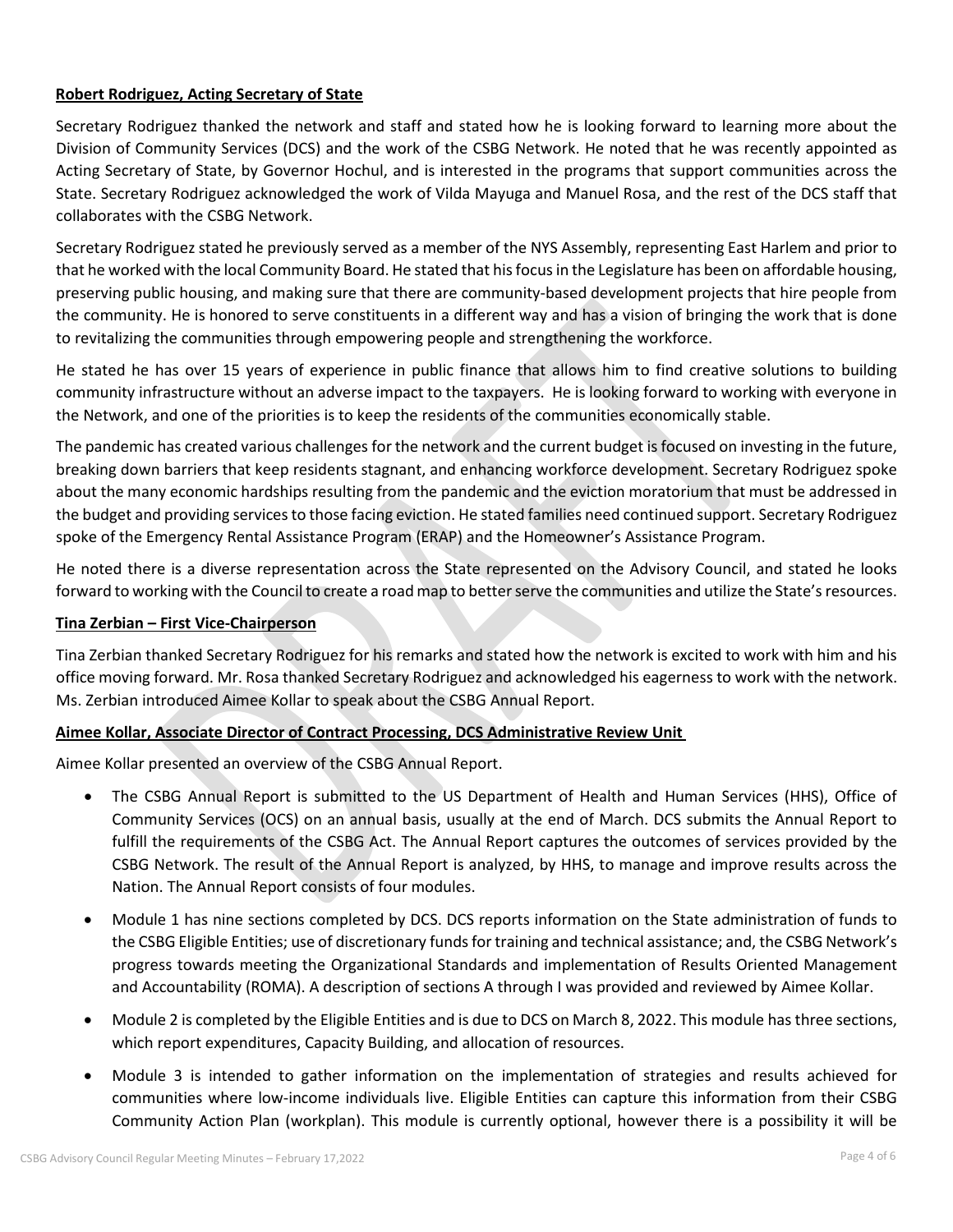# **Robert Rodriguez, Acting Secretary of State**

Secretary Rodriguez thanked the network and staff and stated how he is looking forward to learning more about the Division of Community Services (DCS) and the work of the CSBG Network. He noted that he was recently appointed as Acting Secretary of State, by Governor Hochul, and is interested in the programs that support communities across the State. Secretary Rodriguez acknowledged the work of Vilda Mayuga and Manuel Rosa, and the rest of the DCS staff that collaborates with the CSBG Network.

Secretary Rodriguez stated he previously served as a member of the NYS Assembly, representing East Harlem and prior to that he worked with the local Community Board. He stated that his focus in the Legislature has been on affordable housing, preserving public housing, and making sure that there are community-based development projects that hire people from the community. He is honored to serve constituents in a different way and has a vision of bringing the work that is done to revitalizing the communities through empowering people and strengthening the workforce.

He stated he has over 15 years of experience in public finance that allows him to find creative solutions to building community infrastructure without an adverse impact to the taxpayers. He is looking forward to working with everyone in the Network, and one of the priorities is to keep the residents of the communities economically stable.

The pandemic has created various challenges for the network and the current budget is focused on investing in the future, breaking down barriers that keep residents stagnant, and enhancing workforce development. Secretary Rodriguez spoke about the many economic hardships resulting from the pandemic and the eviction moratorium that must be addressed in the budget and providing services to those facing eviction. He stated families need continued support. Secretary Rodriguez spoke of the Emergency Rental Assistance Program (ERAP) and the Homeowner's Assistance Program.

He noted there is a diverse representation across the State represented on the Advisory Council, and stated he looks forward to working with the Council to create a road map to better serve the communities and utilize the State's resources.

### **Tina Zerbian – First Vice-Chairperson**

Tina Zerbian thanked Secretary Rodriguez for his remarks and stated how the network is excited to work with him and his office moving forward. Mr. Rosa thanked Secretary Rodriguez and acknowledged his eagerness to work with the network. Ms. Zerbian introduced Aimee Kollar to speak about the CSBG Annual Report.

#### **Aimee Kollar, Associate Director of Contract Processing, DCS Administrative Review Unit**

Aimee Kollar presented an overview of the CSBG Annual Report.

- The CSBG Annual Report is submitted to the US Department of Health and Human Services (HHS), Office of Community Services (OCS) on an annual basis, usually at the end of March. DCS submits the Annual Report to fulfill the requirements of the CSBG Act. The Annual Report captures the outcomes of services provided by the CSBG Network. The result of the Annual Report is analyzed, by HHS, to manage and improve results across the Nation. The Annual Report consists of four modules.
- Module 1 has nine sections completed by DCS. DCS reports information on the State administration of funds to the CSBG Eligible Entities; use of discretionary funds for training and technical assistance; and, the CSBG Network's progress towards meeting the Organizational Standards and implementation of Results Oriented Management and Accountability (ROMA). A description of sections A through I was provided and reviewed by Aimee Kollar.
- Module 2 is completed by the Eligible Entities and is due to DCS on March 8, 2022. This module has three sections, which report expenditures, Capacity Building, and allocation of resources.
- Module 3 is intended to gather information on the implementation of strategies and results achieved for communities where low-income individuals live. Eligible Entities can capture this information from their CSBG Community Action Plan (workplan). This module is currently optional, however there is a possibility it will be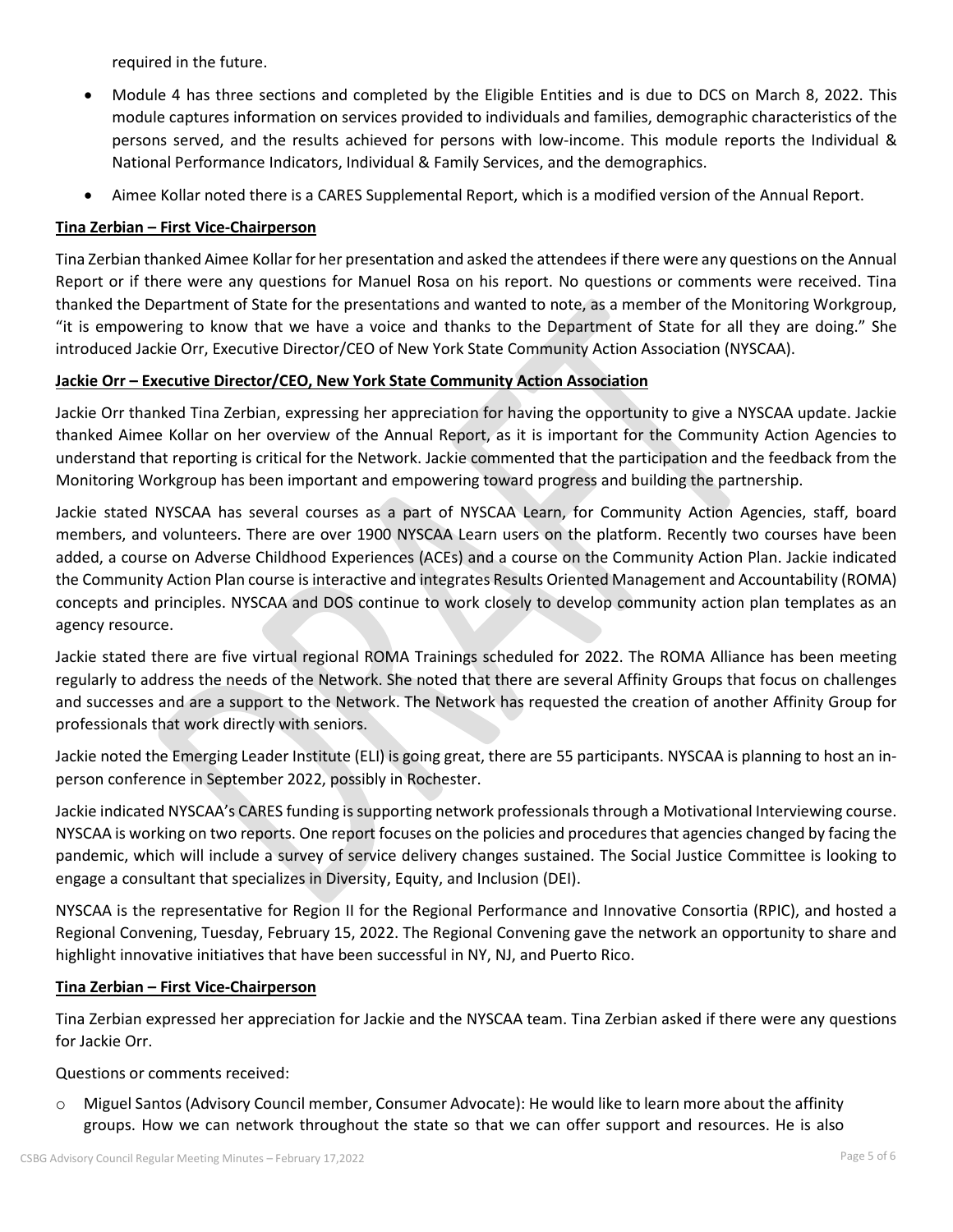required in the future.

- Module 4 has three sections and completed by the Eligible Entities and is due to DCS on March 8, 2022. This module captures information on services provided to individuals and families, demographic characteristics of the persons served, and the results achieved for persons with low-income. This module reports the Individual & National Performance Indicators, Individual & Family Services, and the demographics.
- Aimee Kollar noted there is a CARES Supplemental Report, which is a modified version of the Annual Report.

### **Tina Zerbian – First Vice-Chairperson**

Tina Zerbian thanked Aimee Kollar for her presentation and asked the attendeesif there were any questions on the Annual Report or if there were any questions for Manuel Rosa on his report. No questions or comments were received. Tina thanked the Department of State for the presentations and wanted to note, as a member of the Monitoring Workgroup, "it is empowering to know that we have a voice and thanks to the Department of State for all they are doing." She introduced Jackie Orr, Executive Director/CEO of New York State Community Action Association (NYSCAA).

## **Jackie Orr – Executive Director/CEO, New York State Community Action Association**

Jackie Orr thanked Tina Zerbian, expressing her appreciation for having the opportunity to give a NYSCAA update. Jackie thanked Aimee Kollar on her overview of the Annual Report, as it is important for the Community Action Agencies to understand that reporting is critical for the Network. Jackie commented that the participation and the feedback from the Monitoring Workgroup has been important and empowering toward progress and building the partnership.

Jackie stated NYSCAA has several courses as a part of NYSCAA Learn, for Community Action Agencies, staff, board members, and volunteers. There are over 1900 NYSCAA Learn users on the platform. Recently two courses have been added, a course on Adverse Childhood Experiences (ACEs) and a course on the Community Action Plan. Jackie indicated the Community Action Plan course is interactive and integrates Results Oriented Management and Accountability (ROMA) concepts and principles. NYSCAA and DOS continue to work closely to develop community action plan templates as an agency resource.

Jackie stated there are five virtual regional ROMA Trainings scheduled for 2022. The ROMA Alliance has been meeting regularly to address the needs of the Network. She noted that there are several Affinity Groups that focus on challenges and successes and are a support to the Network. The Network has requested the creation of another Affinity Group for professionals that work directly with seniors.

Jackie noted the Emerging Leader Institute (ELI) is going great, there are 55 participants. NYSCAA is planning to host an inperson conference in September 2022, possibly in Rochester.

Jackie indicated NYSCAA's CARES funding is supporting network professionals through a Motivational Interviewing course. NYSCAA is working on two reports. One report focuses on the policies and procedures that agencies changed by facing the pandemic, which will include a survey of service delivery changes sustained. The Social Justice Committee is looking to engage a consultant that specializes in Diversity, Equity, and Inclusion (DEI).

NYSCAA is the representative for Region II for the Regional Performance and Innovative Consortia (RPIC), and hosted a Regional Convening, Tuesday, February 15, 2022. The Regional Convening gave the network an opportunity to share and highlight innovative initiatives that have been successful in NY, NJ, and Puerto Rico.

#### **Tina Zerbian – First Vice-Chairperson**

Tina Zerbian expressed her appreciation for Jackie and the NYSCAA team. Tina Zerbian asked if there were any questions for Jackie Orr.

Questions or comments received:

Miguel Santos (Advisory Council member, Consumer Advocate): He would like to learn more about the affinity groups. How we can network throughout the state so that we can offer support and resources. He is also